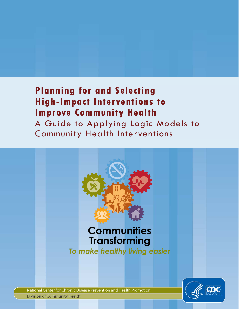# **Planning for and Selecting High-Impact Interventions to Improve Community Health**

A Guide to Applying Logic Models to Community Health Interventions



National Center for Chronic Disease Prevention and Health Promotion **Division of Community Health**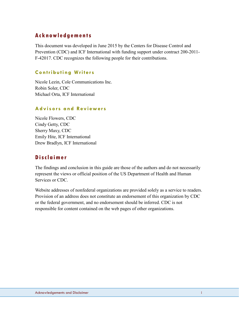# **Acknowledgements**

This document was developed in June 2015 by the Centers for Disease Control and Prevention (CDC) and ICF International with funding support under contract 200-2011- F-42017. CDC recognizes the following people for their contributions.

## **Contributing Writers**

Nicole Lezin, Cole Communications Inc. Robin Soler, CDC Michael Orta, ICF International

### **Advisors and Reviewers**

Nicole Flowers, CDC Cindy Getty, CDC Sherry Maxy, CDC Emily Hite, ICF International Drew Bradlyn, ICF International

# **Disclaimer**

The findings and conclusion in this guide are those of the authors and do not necessarily represent the views or official position of the US Department of Health and Human Services or CDC.

Website addresses of nonfederal organizations are provided solely as a service to readers. Provision of an address does not constitute an endorsement of this organization by CDC or the federal government, and no endorsement should be inferred. CDC is not responsible for content contained on the web pages of other organizations.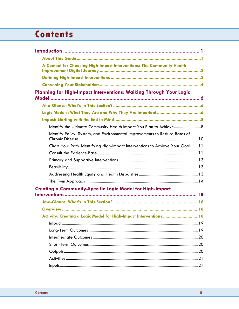# **Contents**

| A Context for Choosing High-Impact Interventions: The Community Health         |  |
|--------------------------------------------------------------------------------|--|
|                                                                                |  |
|                                                                                |  |
| Planning for High-Impact Interventions: Walking Through Your Logic             |  |
|                                                                                |  |
|                                                                                |  |
|                                                                                |  |
| Identify the Ultimate Community Health Impact You Plan to Achieve 8            |  |
| Identify Policy, System, and Environmental Improvements to Reduce Rates of     |  |
| Chart Your Path: Identifying High-Impact Interventions to Achieve Your Goal 11 |  |
|                                                                                |  |
|                                                                                |  |
|                                                                                |  |
|                                                                                |  |
|                                                                                |  |
| <b>Creating a Community-Specific Logic Model for High-Impact</b>               |  |
|                                                                                |  |
|                                                                                |  |
|                                                                                |  |
| Activity: Creating a Logic Model for High-Impact Interventions 18              |  |
|                                                                                |  |
|                                                                                |  |
|                                                                                |  |
|                                                                                |  |
|                                                                                |  |
|                                                                                |  |
|                                                                                |  |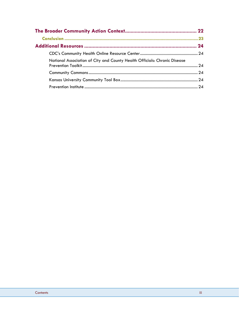| National Association of City and County Health Officials: Chronic Disease |  |
|---------------------------------------------------------------------------|--|
|                                                                           |  |
|                                                                           |  |
|                                                                           |  |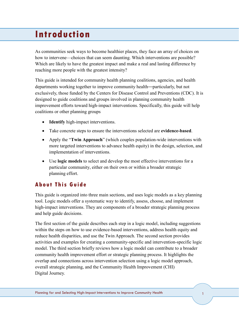# <span id="page-4-0"></span>**Introduction**

As communities seek ways to become healthier places, they face an array of choices on how to intervene—choices that can seem daunting. Which interventions are possible? Which are likely to have the greatest impact and make a real and lasting difference by reaching more people with the greatest intensity?

This guide is intended for community health planning coalitions, agencies, and health departments working together to improve community health—particularly, but not exclusively, those funded by the Centers for Disease Control and Preventions (CDC). It is designed to guide coalitions and groups involved in planning community health improvement efforts toward high-impact interventions. Specifically, this guide will help coalitions or other planning groups

- **Identify** high-impact interventions.
- Take concrete steps to ensure the interventions selected are **evidence-based**.
- Apply the "**Twin Approach**" (which couples population-wide interventions with more targeted interventions to advance health equity) in the design, selection, and implementation of interventions.
- Use **logic models** to select and develop the most effective interventions for a particular community, either on their own or within a broader strategic planning effort.

# <span id="page-4-1"></span>**About This Guide**

This guide is organized into three main sections, and uses logic models as a key planning tool. Logic models offer a systematic way to identify, assess, choose, and implement high-impact interventions. They are components of a broader strategic planning process and help guide decisions.

The first section of the guide describes each step in a logic model, including suggestions within the steps on how to use evidence-based interventions, address health equity and reduce health disparities, and use the Twin Approach. The second section provides activities and examples for creating a community-specific and intervention-specific logic model. The third section briefly reviews how a logic model can contribute to a broader community health improvement effort or strategic planning process. It highlights the overlap and connections across intervention selection using a logic model approach, overall strategic planning, and the Community Health Improvement (CHI) Digital Journey.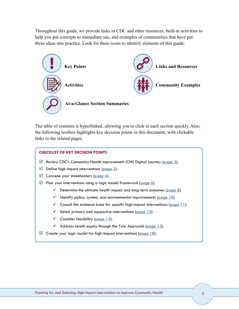Throughout this guide, we provide links to CDC and other resources, built-in activities to help you put concepts to immediate use, and examples of communities that have put these ideas into practice. Look for these icons to identify elements of this guide:



The table of contents is hyperlinked, allowing you to click to each section quickly. Also, the following textbox highlights key decision points in this document, with clickable links to the related pages.

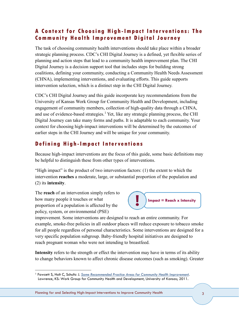# <span id="page-6-2"></span><span id="page-6-0"></span>**A Context for Choosing High -Impact Interventions: The Community Health Improvement Digital Journey**

The task of choosing community health interventions should take place within a broader strategic planning process. CDC's CHI Digital Journey is a defined, yet flexible series of planning and action steps that lead to a community health improvement plan. The CHI Digital Journey is a decision support tool that includes steps for building strong coalitions, defining your community, conducting a Community Health Needs Assessment (CHNA), implementing interventions, and evaluating efforts. This guide supports intervention selection, which is a distinct step in the CHI Digital Journey.

CDC's CHI Digital Journey and this guide incorporate key recommendations from the University of Kansas Work Group for Community Health and Development, including engagement of community members, collection of high-quality data through a CHNA, and use of evidence-based strategies.<sup>1</sup> Yet, like any strategic planning process, the CHI Digital Journey can take many forms and paths. It is adaptable to each community. Your context for choosing high-impact interventions will be determined by the outcomes of earlier steps in the CHI Journey and will be unique for your community.

# <span id="page-6-1"></span>**Defin ing High -Impact Interventions**

Because high-impact interventions are the focus of this guide, some basic definitions may be helpful to distinguish these from other types of interventions.

"High impact" is the product of two intervention factors: (1) the extent to which the intervention **reaches** a moderate, large, or substantial proportion of the population and (2) its **intensity**.

The **reach** of an intervention simply refers to how many people it touches or what proportion of a population is affected by the policy, system, or environmental (PSE)



improvement. Some interventions are designed to reach an entire community. For example, smoke-free policies in all outdoor places will reduce exposure to tobacco smoke for all people regardless of personal characteristics. Some interventions are designed for a very specific population subgroup. Baby-friendly hospital initiatives are designed to reach pregnant woman who were not intending to breastfeed.

**Intensity** refers to the strength or effect the intervention may have in terms of its ability to change behaviors known to affect chronic disease outcomes (such as smoking). Greater

Planning for and Selecting High-Impact Interventions to Improve Community Health 3

<sup>1</sup> Fawcett S, Holt C, Schultz J. *[Some Recommended Practice Areas for Community Health Improvement](http://ctb.ku.edu/sites/default/files/site_files/recommended_practices_for_enhancing_community_health_improvement.pdf)*. Lawrence, KS: Work Group for Community Health and Development, University of Kansas; 2011.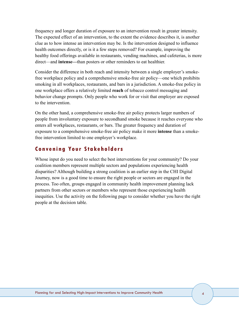frequency and longer duration of exposure to an intervention result in greater intensity. The expected effect of an intervention, to the extent the evidence describes it, is another clue as to how intense an intervention may be. Is the intervention designed to influence health outcomes directly, or is it a few steps removed? For example, improving the healthy food offerings available in restaurants, vending machines, and cafeterias, is more direct—and **intense—**than posters or other reminders to eat healthier.

Consider the difference in both reach and intensity between a single employer's smokefree workplace policy and a comprehensive smoke-free air policy—one which prohibits smoking in all workplaces, restaurants, and bars in a jurisdiction. A smoke-free policy in one workplace offers a relatively limited **reach** of tobacco control messaging and behavior change prompts. Only people who work for or visit that employer are exposed to the intervention.

On the other hand, a comprehensive smoke-free air policy protects larger numbers of people from involuntary exposure to secondhand smoke because it reaches everyone who enters all workplaces, restaurants, or bars. The greater frequency and duration of exposure to a comprehensive smoke-free air policy make it more **intense** than a smokefree intervention limited to one employer's workplace.

# <span id="page-7-0"></span>**Convening Your Stakeholders**

Whose input do you need to select the best interventions for your community? Do your coalition members represent multiple sectors and populations experiencing health disparities? Although building a strong coalition is an earlier step in the CHI Digital Journey, now is a good time to ensure the right people or sectors are engaged in the process. Too often, groups engaged in community health improvement planning lack partners from other sectors or members who represent those experiencing health inequities. Use the activity on the following page to consider whether you have the right people at the decision table.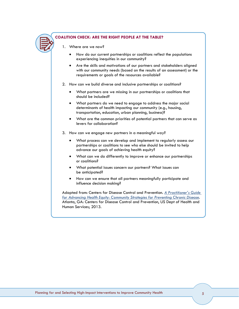#### **COALITION CHECK: ARE THE RIGHT PEOPLE AT THE TABLE?**

- 1. Where are we now?
	- How do our current partnerships or coalitions reflect the populations experiencing inequities in our community?
	- Are the skills and motivations of our partners and stakeholders aligned with our community needs (based on the results of an assessment) or the requirements or goals of the resources available?
- 2. How can we build diverse and inclusive partnerships or coalitions?
	- What partners are we missing in our partnerships or coalitions that should be included?
	- What partners do we need to engage to address the major social determinants of health impacting our community (e.g., housing, transportation, education, urban planning, business)?
	- What are the common priorities of potential partners that can serve as levers for collaboration?
- 3. How can we engage new partners in a meaningful way?
	- What process can we develop and implement to regularly assess our partnerships or coalitions to see who else should be invited to help advance our goals of achieving health equity?
	- What can we do differently to improve or enhance our partnerships or coalitions?
	- What potential issues concern our partners? What issues can be anticipated?
	- How can we ensure that all partners meaningfully participate and influence decision making?

Adapted from: Centers for Disease Control and Prevention. *[A Practitioner's Guide](http://www.cdc.gov/NCCDPHP/dch/health-equity-guide/index.htm)  [for Advancing Health Equity: Community Strategies for Preventing Chronic Disease](http://www.cdc.gov/NCCDPHP/dch/health-equity-guide/index.htm)*. Atlanta, GA: Centers for Disease Control and Prevention, US Dept of Health and Human Services; 2013.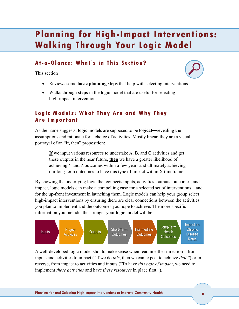# <span id="page-9-0"></span>**Planning for High-Impact Interventions: Walking Through Your Logic Model**

# <span id="page-9-1"></span>**A t- a-Glance : What's in This Section?**

This section



- Reviews some **basic planning steps** that help with selecting interventions.
- Walks through **steps** in the logic model that are useful for selecting high-impact interventions.

# <span id="page-9-2"></span>**Logic Models: What They Are and Why They Are Important**

As the name suggests, **logic** models are supposed to be **logical**—revealing the assumptions and rationale for a choice of activities. Mostly linear, they are a visual portrayal of an "if, then" proposition:

**If** we input various resources to undertake A, B, and C activities and get these outputs in the near future, **then** we have a greater likelihood of achieving Y and Z outcomes within a few years and ultimately achieving our long-term outcomes to have this type of impact within X timeframe.

By showing the underlying logic that connects inputs, activities, outputs, outcomes, and impact, logic models can make a compelling case for a selected set of interventions—and for the up-front investment in launching them. Logic models can help your group select high-impact interventions by ensuring there are clear connections between the activities you plan to implement and the outcomes you hope to achieve. The more specific information you include, the stronger your logic model will be.



A well-developed logic model should make sense when read in either direction—from inputs and activities to impact ("If we do *this*, then we can expect to achieve *that*.") or in reverse, from impact to activities and inputs ("To have *this type of impact*, we need to implement *these activities* and have *these resources* in place first.").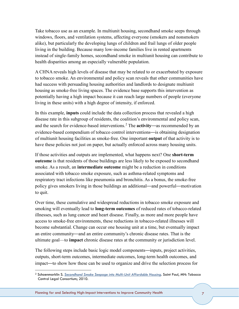Take tobacco use as an example. In multiunit housing, secondhand smoke seeps through windows, floors, and ventilation systems, affecting everyone (smokers and nonsmokers alike), but particularly the developing lungs of children and frail lungs of older people living in the building. Because many low-income families live in rented apartments instead of single-family homes, secondhand smoke in multiunit housing can contribute to health disparities among an especially vulnerable population.

A CHNA reveals high levels of disease that may be related to or exacerbated by exposure to tobacco smoke. An environmental and policy scan reveals that other communities have had success with persuading housing authorities and landlords to designate multiunit housing as smoke-free living spaces. The evidence base supports this intervention as potentially having a high impact because it can reach large numbers of people (everyone living in these units) with a high degree of intensity, if enforced.

In this example, **inputs** could include the data collection process that revealed a high disease rate in this subgroup of residents, the coalition's environmental and policy scan, and the search for evidence-based interventions.<sup>2</sup> The **activity**—as recommended by an evidence-based compendium of tobacco control interventions—is obtaining designation of multiunit housing facilities as smoke-free. One important **output** of that activity is to have these policies not just on paper, but actually enforced across many housing units.

If those activities and outputs are implemented, what happens next? One **short-term outcome** is that residents of those buildings are less likely to be exposed to secondhand smoke. As a result, an **intermediate outcome** might be a reduction in conditions associated with tobacco smoke exposure, such as asthma-related symptoms and respiratory tract infections like pneumonia and bronchitis. As a bonus, the smoke-free policy gives smokers living in those buildings an additional—and powerful—motivation to quit.

Over time, these cumulative and widespread reductions in tobacco smoke exposure and smoking will eventually lead to **long-term outcomes** of reduced rates of tobacco-related illnesses, such as lung cancer and heart disease. Finally, as more and more people have access to smoke-free environments, these reductions in tobacco-related illnesses will become substantial. Change can occur one housing unit at a time, but eventually impact an entire community—and an entire community's chronic disease rates. That is the ultimate goal—to **impact** chronic disease rates at the community or jurisdiction level.

The following steps include basic logic model components—inputs, project activities, outputs, short-term outcomes, intermediate outcomes, long-term health outcomes, and impact—to show how these can be used to organize and drive the selection process for

Planning for and Selecting High-Impact Interventions to Improve Community Health 7

 $\overline{a}$ 

<sup>2</sup> Schoenmarklin S. *[Secondhand Smoke Seepage into Multi-Unit Affordable Housing](http://www.publichealthlawcenter.org/sites/default/files/resources/tclc-syn-secondhand-2010_0.pdf)*. Saint Paul, MN: Tobacco Control Legal Consortium; 2010.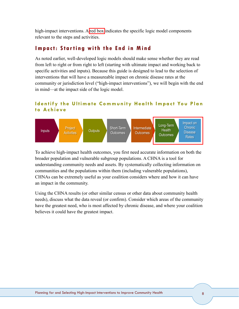high-impact interventions. A red box indicates the specific logic model components relevant to the steps and activities.

# <span id="page-11-0"></span>**Impact: Starting with the End in Mind**

As noted earlier, well-developed logic models should make sense whether they are read from left to right or from right to left (starting with ultimate impact and working back to specific activities and inputs). Because this guide is designed to lead to the selection of interventions that will have a measureable impact on chronic disease rates at the community or jurisdiction level ("high-impact interventions"), we will begin with the end in mind—at the impact side of the logic model.

# <span id="page-11-1"></span>**Identify the Ultimate Community Health Impact You Plan to Achieve**



To achieve high-impact health outcomes, you first need accurate information on both the broader population and vulnerable subgroup populations. A CHNA is a tool for understanding community needs and assets. By systematically collecting information on communities and the populations within them (including vulnerable populations), CHNAs can be extremely useful as your coalition considers where and how it can have an impact in the community.

Using the CHNA results (or other similar census or other data about community health needs), discuss what the data reveal (or confirm). Consider which areas of the community have the greatest need, who is most affected by chronic disease, and where your coalition believes it could have the greatest impact.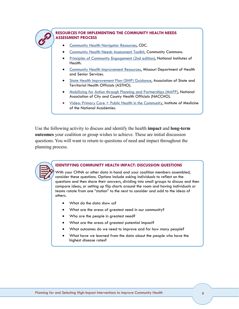

#### **RESOURCES FOR IMPLEMENTING THE COMMUNITY HEALTH NEEDS ASSESSMENT PROCESS**

- [Community Health Navigator Resources,](http://www.cdc.gov/chinav/resources/additional/index.html) CDC.
- [Community Health Needs Assessment Toolkit,](http://www.communitycommons.org/chna/) Community Commons.
- [Principles of Community Engagement \(2nd edition\),](http://www.atsdr.cdc.gov/communityengagement/pdf/PCE_Report_508_FINAL.pdf) National Institutes of Health.
- [Community Health Improvement Resources,](http://health.mo.gov/data/chir/) Missouri Department of Health and Senior Services.
- [State Health Improvement Plan \(SHIP\) Guidance,](http://www.astho.org/Accreditation-and-Performance/Developing-a-State-Health-Improvement-Plan-Guidance-and-Resources/) Association of State and Territorial Health Officials (ASTHO).
- [Mobilizing for Action through Planning and Partnerships \(MAPP\),](http://www.naccho.org/topics/infrastructure/mapp/) National Association of City and County Health Officials (NACCHO).
- [Video: Primary Care + Public Health in the Community,](http://www.iom.edu/Reports/2012/Primary-Care-and-Public-Health/Video.aspx) Institute of Medicine of the National Academies.

Use the following activity to discuss and identify the health **impact** and **long-term outcomes** your coalition or group wishes to achieve. These are initial discussion questions. You will want to return to questions of need and impact throughout the planning process.

### **IDENTIFYING COMMUNITY HEALTH IMPACT: DISCUSSION QUESTIONS**

With your CHNA or other data in hand and your coalition members assembled, consider these questions. Options include asking individuals to reflect on the questions and then share their answers, dividing into small groups to discuss and then compare ideas, or setting up flip charts around the room and having individuals or teams rotate from one "station" to the next to consider and add to the ideas of others.

- What do the data show us?
- What are the areas of greatest need in our community?
- Who are the people in greatest need?
- What are the areas of greatest potential impact?
- What outcomes do we need to improve and for how many people?
- What have we learned from the data about the people who have the highest disease rates?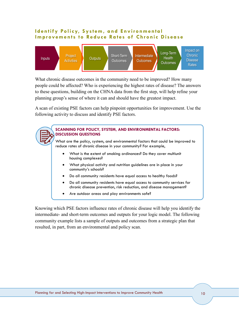## <span id="page-13-0"></span>**Identify Policy, System, and Environmental Improvements to Reduce Rates of Chronic Disease**



What chronic disease outcomes in the community need to be improved? How many people could be affected? Who is experiencing the highest rates of disease? The answers to these questions, building on the CHNA data from the first step, will help refine your planning group's sense of where it can and should have the greatest impact.

A scan of existing PSE factors can help pinpoint opportunities for improvement. Use the following activity to discuss and identify PSE factors.



#### **SCANNING FOR POLICY, SYSTEM, AND ENVIRONMENTAL FACTORS: DISCUSSION QUESTIONS**

What are the policy, system, and environmental factors that could be improved to reduce rates of chronic disease in your community? For example,

- What is the extent of smoking ordinances? Do they cover multiunit housing complexes?
- What physical activity and nutrition guidelines are in place in your community's schools?
- Do all community residents have equal access to healthy foods?
- Do all community residents have equal access to community services for chronic disease prevention, risk reduction, and disease management?
- Are outdoor areas and play environments safe?

Knowing which PSE factors influence rates of chronic disease will help you identify the intermediate- and short-term outcomes and outputs for your logic model. The following community example lists a sample of outputs and outcomes from a strategic plan that resulted, in part, from an environmental and policy scan.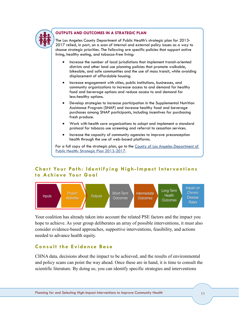

#### **OUTPUTS AND OUTCOMES IN A STRATEGIC PLAN**

The Los Angeles County Department of Public Health's strategic plan for 2013- 2017 relied, in part, on a scan of internal and external policy issues as a way to choose strategic priorities. The following are specific policies that support active living, healthy eating, and tobacco-free living:

- Increase the number of local jurisdictions that implement transit-oriented districts and other land use planning policies that promote walkable, bikeable, and safe communities and the use of mass transit, while avoiding displacement of affordable housing.
- Increase engagement with cities, public institutions, businesses, and community organizations to increase access to and demand for healthy food and beverage options and reduce access to and demand for less-healthy options.
- Develop strategies to increase participation in the Supplemental Nutrition Assistance Program (SNAP) and increase healthy food and beverage purchases among SNAP participants, including incentives for purchasing fresh produce.
- Work with health care organizations to adopt and implement a standard protocol for tobacco use screening and referral to cessation services.
- Increase the capacity of community agencies to improve preconception health through the use of web-based platforms.

For a full copy of the strategic plan, go to the [County of Los Angeles Department of](http://publichealth.lacounty.gov/plan/docs/Strategic_Plan/DPHStrategicPlan_2013-2017.pdf)  [Public Health: Strategic Plan 2013-2017.](http://publichealth.lacounty.gov/plan/docs/Strategic_Plan/DPHStrategicPlan_2013-2017.pdf)

## <span id="page-14-0"></span>**Char t Your Path: Identifying High -Impact Intervention s to Achieve Your Goal**



Your coalition has already taken into account the related PSE factors and the impact you hope to achieve. As your group deliberates an array of possible interventions, it must also consider evidence-based approaches, supportive interventions, feasibility, and actions needed to advance health equity.

### <span id="page-14-1"></span>**Consult the Evidence Base**

CHNA data, decisions about the impact to be achieved, and the results of environmental and policy scans can point the way ahead. Once these are in hand, it is time to consult the scientific literature. By doing so, you can identify specific strategies and interventions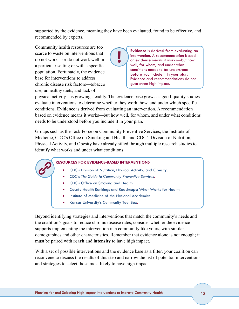supported by the evidence, meaning they have been evaluated, found to be effective, and recommended by experts.

Community health resources are too scarce to waste on interventions that do not work—or do not work well in a particular setting or with a specific population. Fortunately, the evidence base for interventions to address chronic disease risk factors—tobacco use, unhealthy diets, and lack of

**Evidence** is derived from evaluating an intervention. A recommendation based on evidence means it works—but how well, for whom, and under what conditions needs to be understood before you include it in your plan. Evidence and recommendations do not guarantee high impact.

physical activity—is growing steadily. The evidence base grows as good-quality studies evaluate interventions to determine whether they work, how, and under which specific conditions. **Evidence** is derived from evaluating an intervention. A recommendation based on evidence means it works—but how well, for whom, and under what conditions needs to be understood before you include it in your plan.

Groups such as the Task Force on Community Preventive Services, the Institute of Medicine, CDC's Office on Smoking and Health, and CDC's Division of Nutrition, Physical Activity, and Obesity have already sifted through multiple research studies to identify what works and under what conditions.

#### **RESOURCES FOR EVIDENCE-BASED INTERVENTIONS**

- [CDC's Division of Nutrition, Physical Activity, and Obesity.](http://www.cdc.gov/nccdphp/dnpao/publications/index.html)
- CDC's *[The Guide to Community Preventive Services](http://www.thecommunityguide.org/)*.
- [CDC's Office on Smoking and Health.](http://www.cdc.gov/tobacco/stateandcommunity/index.htm)
- [County Health Rankings and Roadmaps: What Works for Health.](http://www.countyhealthrankings.org/roadmaps/what-works-for-health)
- [Institute of Medicine of the National Academies.](http://www.iom.edu/Reports.aspx)
- [Kansas University's Community Tool Box.](http://ctb.ku.edu/en/databases-best-practices)

Beyond identifying strategies and interventions that match the community's needs and the coalition's goals to reduce chronic disease rates, consider whether the evidence supports implementing the intervention in a community like yours, with similar demographics and other characteristics. Remember that evidence alone is not enough; it must be paired with **reach** and **intensity** to have high impact.

With a set of possible interventions and the evidence base as a filter, your coalition can reconvene to discuss the results of this step and narrow the list of potential interventions and strategies to select those most likely to have high impact.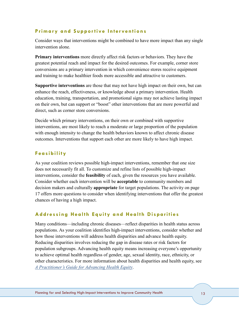### <span id="page-16-0"></span>**Primary and Supportive Interventions**

Consider ways that interventions might be combined to have more impact than any single intervention alone.

**Primary interventions** more directly affect risk factors or behaviors. They have the greatest potential reach and impact for the desired outcomes. For example, corner store conversions are a primary intervention in which convenience stores receive equipment and training to make healthier foods more accessible and attractive to customers.

<span id="page-16-3"></span>**Supportive interventions** are those that may not have high impact on their own, but can enhance the reach, effectiveness, or knowledge about a primary intervention. Health education, training, transportation, and promotional signs may not achieve lasting impact on their own, but can support or "boost" other interventions that are more powerful and direct, such as corner store conversions.

Decide which primary interventions, on their own or combined with supportive interventions, are most likely to reach a moderate or large proportion of the population with enough intensity to change the health behaviors known to affect chronic disease outcomes. Interventions that support each other are more likely to have high impact.

### <span id="page-16-1"></span>**Feasibility**

As your coalition reviews possible high-impact interventions, remember that one size does not necessarily fit all. To customize and refine lists of possible high-impact interventions, consider the **feasibility** of each, given the resources you have available. Consider whether each intervention will be **acceptable** to community members and decision makers and culturally **appropriate** for target populations. The activity on page 17 offers more questions to consider when identifying interventions that offer the greatest chances of having a high impact.

## <span id="page-16-2"></span>**Addressing Health Equity and Health Disparities**

Many conditions—including chronic diseases—reflect disparities in health status across populations. As your coalition identifies high-impact interventions, consider whether and how those interventions will address health disparities and advance health equity. Reducing disparities involves reducing the gap in disease rates or risk factors for population subgroups. Advancing health equity means increasing everyone's opportunity to achieve optimal health regardless of gender, age, sexual identity, race, ethnicity, or other characteristics. For more information about health disparities and health equity, see *[A Practitioner's Guide for Advancing Health Equity](http://www.cdc.gov/nccdphp/dch/pdfs/health-equity-guide/Health-Equity-Guide-intro.pdf)*.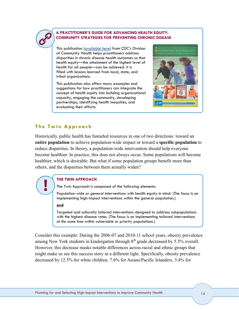

#### **A PRACTITIONER'S GUIDE FOR ADVANCING HEALTH EQUITY: COMMUNITY STRATEGIES FOR PREVENTING CHRONIC DISEASE**

This publication [\(available here\)](http://www.cdc.gov/nccdphp/dch/pdfs/health-equity-guide/Health-Equity-Guide-intro.pdf) from CDC's Division of Community Health helps practitioners address disparities in chronic disease health outcomes so that health equity—the attainment of the highest level of health for all people—can be achieved. It is filled with lessons learned from local, state, and tribal organizations.

This publication also offers many examples and suggestions for how practitioners can integrate the concept of health equity into building organizational capacity, engaging the community, developing partnerships, identifying health inequities, and evaluating their efforts.



# <span id="page-17-0"></span>**The Twin Approach**

Historically, public health has funneled resources in one of two directions: toward an **entire population** to achieve population-wide impact or toward a **specific population** to reduce disparities. In theory, a population-wide intervention should help everyone become healthier. In practice, this does not always occur. Some populations will become healthier, which is desirable. But what if some population groups benefit more than others, and the disparities between them actually widen?

### **THE TWIN APPROACH**

The Twin Approach is composed of the following elements:

Population-wide or general interventions with health equity in mind. (The focus is on implementing high-impact interventions within the general population.)

#### **and**

Targeted and culturally tailored interventions designed to address subpopulations with the highest disease rates. (The focus is on implementing tailored interventions *at the same time* within vulnerable or priority populations.)

Consider this example: During the 2006-07 and 2010-11 school years, obesity prevalence among New York students in kindergarten through  $8<sup>th</sup>$  grade decreased by 5.5% overall. However, this decrease masks notable differences across racial and ethnic groups that might make us see this success story in a different light. Specifically, obesity prevalence decreased by 12.5% for white children, 7.6% for Asians/Pacific Islanders, 3.4% for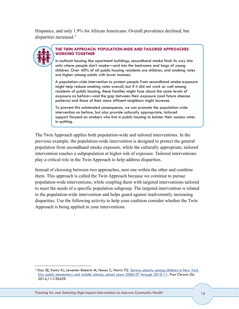Hispanics, and only 1.9% for African Americans. Overall prevalence declined, but disparities increased. 3



 $\overline{a}$ 

#### **THE TWIN APPROACH: POPULATION-WIDE AND TAILORED APPROACHES WORKING TOGETHER**

In multiunit housing like apartment buildings, secondhand smoke finds its way into units where people don't smoke—and into the bedrooms and lungs of young children. Over 40% of all public housing residents are children, and smoking rates are higher among adults with lower incomes.

A population-wide intervention to protect people from secondhand smoke exposure might help reduce smoking rates overall, but if it did not work as well among residents of public housing, these families might face about the same levels of exposure as before—and the gap between their exposure (and future disease patterns) and those of their more affluent neighbors might increase.

To prevent this unintended consequence, we can promote the population-wide intervention as before, but also provide culturally appropriate, tailored support focused on smokers who live in public housing to bolster their success rates in quitting.

The Twin Approach applies both population-wide and tailored interventions. In the previous example, the population-wide intervention is designed to protect the general population from secondhand smoke exposure, while the culturally appropriate, tailored intervention reaches a subpopulation at higher risk of exposure. Tailored interventions play a critical role in the Twin Approach to help address disparities.

Instead of choosing between two approaches, nest one within the other and combine them. This approach is called the Twin Approach because we continue to pursue population-wide interventions, while coupling them with targeted interventions tailored to meet the needs of a specific population subgroup. The targeted intervention is related to the population-wide intervention and helps guard against inadvertently increasing disparities. Use the following activity to help your coalition consider whether the Twin Approach is being applied in your interventions.

Planning for and Selecting High-Impact Interventions to Improve Community Health 15

<sup>&</sup>lt;sup>3</sup> Day SE, Konty KJ, Leventer-Roberts M, Nonas C, Harris TG. Severe obesity among children in New York [City public elementary and middle schools, school years 2006-07 through 2010-11.](http://www.cdc.gov/pcd/issues/2014/13_0439.htm) *Prev Chronic Dis.* 2014;11:130439.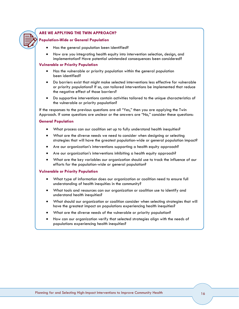

#### **ARE WE APPLYING THE TWIN APPROACH?**

#### **Population-Wide or General Population**

- Has the general population been identified?
- How are you integrating health equity into intervention selection, design, and implementation? Have potential unintended consequences been considered?

#### **Vulnerable or Priority Population**

- Has the vulnerable or priority population within the general population been identified?
- Do barriers exist that might make selected interventions less effective for vulnerable or priority populations? If so, can tailored interventions be implemented that reduce the negative effect of those barriers?
- Do supportive interventions contain activities tailored to the unique characteristics of the vulnerable or priority population?

If the responses to the previous questions are all "Yes," then you are applying the Twin Approach. If some questions are unclear or the answers are "No," consider these questions:

#### **General Population**

- What process can our coalition set up to fully understand health inequities?
- What are the diverse needs we need to consider when designing or selecting strategies that will have the greatest population-wide or general population impact?
- Are our organization's interventions supporting a health equity approach?
- Are our organization's interventions inhibiting a health equity approach?
- What are the key variables our organization should use to track the influence of our efforts for the population-wide or general population?

#### **Vulnerable or Priority Population**

- What type of information does our organization or coalition need to ensure full understanding of health inequities in the community?
- What tools and resources can our organization or coalition use to identify and understand health inequities?
- What should our organization or coalition consider when selecting strategies that will have the greatest impact on populations experiencing health inequities?
- What are the diverse needs of the vulnerable or priority population?
- How can our organization verify that selected strategies align with the needs of populations experiencing health inequities?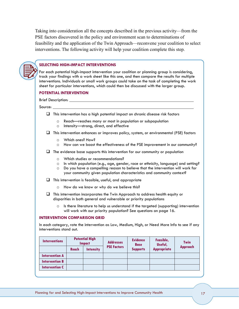Taking into consideration all the concepts described in the previous activity—from the PSE factors discovered in the policy and environment scan to determinations of feasibility and the application of the Twin Approach—reconvene your coalition to select interventions. The following activity will help your coalition complete this step.

|                             |                         |                                 | <b>SELECTING HIGH-IMPACT INTERVENTIONS</b> |                                                                                                      |                                |                                                                                                                                                                                                                                                                                                                                                                                             |                 |
|-----------------------------|-------------------------|---------------------------------|--------------------------------------------|------------------------------------------------------------------------------------------------------|--------------------------------|---------------------------------------------------------------------------------------------------------------------------------------------------------------------------------------------------------------------------------------------------------------------------------------------------------------------------------------------------------------------------------------------|-----------------|
|                             |                         |                                 |                                            |                                                                                                      |                                | For each potential high-impact intervention your coalition or planning group is considering,<br>track your findings with a work sheet like this one, and then compare the results for multiple<br>interventions. Individuals or small work groups could take on the task of completing the work<br>sheet for particular interventions, which could then be discussed with the larger group. |                 |
|                             |                         | <b>POTENTIAL INTERVENTION</b>   |                                            |                                                                                                      |                                |                                                                                                                                                                                                                                                                                                                                                                                             |                 |
|                             |                         |                                 |                                            |                                                                                                      |                                |                                                                                                                                                                                                                                                                                                                                                                                             |                 |
| Source: <b>Example 2019</b> |                         |                                 |                                            |                                                                                                      |                                |                                                                                                                                                                                                                                                                                                                                                                                             |                 |
| ⊔                           |                         |                                 |                                            |                                                                                                      |                                | This intervention has a high potential impact on chronic disease risk factors                                                                                                                                                                                                                                                                                                               |                 |
|                             | $\circ$<br>$\circ$      |                                 |                                            | Reach-reaches many or most in population or subpopulation<br>Intensity-strong, direct, and effective |                                |                                                                                                                                                                                                                                                                                                                                                                                             |                 |
| ⊔                           |                         |                                 |                                            |                                                                                                      |                                | This intervention enhances or improves policy, system, or environmental (PSE) factors                                                                                                                                                                                                                                                                                                       |                 |
|                             | $\circ$<br>$\circ$      | Which ones? How?                |                                            |                                                                                                      |                                | How can we boost the effectiveness of the PSE improvement in our community?                                                                                                                                                                                                                                                                                                                 |                 |
|                             |                         |                                 |                                            |                                                                                                      |                                | The evidence base supports this intervention for our community or population                                                                                                                                                                                                                                                                                                                |                 |
|                             | $\circ$<br>O<br>$\circ$ |                                 |                                            | Which studies or recommendations?                                                                    |                                | In which population (e.g., age, gender, race or ethnicity, language) and setting?<br>Do you have a compelling reason to believe that the intervention will work for<br>your community given population characteristics and community context?                                                                                                                                               |                 |
| ⊔                           |                         |                                 |                                            | This intervention is feasible, useful, and appropriate                                               |                                |                                                                                                                                                                                                                                                                                                                                                                                             |                 |
|                             | $\circ$                 |                                 |                                            | How do we know or why do we believe this?                                                            |                                |                                                                                                                                                                                                                                                                                                                                                                                             |                 |
|                             |                         |                                 |                                            | disparities in both general and vulnerable or priority populations                                   |                                | This intervention incorporates the Twin Approach to address health equity or                                                                                                                                                                                                                                                                                                                |                 |
|                             | $\circ$                 |                                 |                                            |                                                                                                      |                                | Is there literature to help us understand if the targeted (supporting) intervention<br>will work with our priority population? See questions on page 16.                                                                                                                                                                                                                                    |                 |
|                             |                         |                                 | <b>INTERVENTION COMPARISON GRID</b>        |                                                                                                      |                                |                                                                                                                                                                                                                                                                                                                                                                                             |                 |
| interventions stand out.    |                         |                                 |                                            |                                                                                                      |                                | In each category, rate the intervention as Low, Medium, High, or Need More Info to see if any                                                                                                                                                                                                                                                                                               |                 |
| <b>Interventions</b>        |                         | <b>Potential High</b><br>Impact |                                            | <b>Addresses</b>                                                                                     | <b>Evidence</b><br><b>Base</b> | Feasible,<br>Useful,                                                                                                                                                                                                                                                                                                                                                                        | <b>Twin</b>     |
|                             |                         | Reach                           | <b>Intensity</b>                           | <b>PSE Factors</b>                                                                                   | <b>Supports</b>                | <b>Appropriate</b>                                                                                                                                                                                                                                                                                                                                                                          | <b>Approach</b> |
| <b>Intervention A</b>       |                         |                                 |                                            |                                                                                                      |                                |                                                                                                                                                                                                                                                                                                                                                                                             |                 |
| <b>Intervention B</b>       |                         |                                 |                                            |                                                                                                      |                                |                                                                                                                                                                                                                                                                                                                                                                                             |                 |
| <b>Intervention C</b>       |                         |                                 |                                            |                                                                                                      |                                |                                                                                                                                                                                                                                                                                                                                                                                             |                 |

Planning for and Selecting High-Impact Interventions to Improve Community Health 17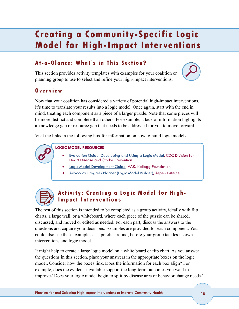# <span id="page-21-0"></span>**Creating a Community-Specific Logic Model for High-Impact Interventions**

# <span id="page-21-1"></span>**A t- a-Glance: What's in This Section?**

This section provides activity templates with examples for your coalition or planning group to use to select and refine your high-impact interventions.

# <span id="page-21-2"></span>**Overview**

Now that your coalition has considered a variety of potential high-impact interventions, it's time to translate your results into a logic model. Once again, start with the end in mind, treating each component as a piece of a larger puzzle. Note that some pieces will be more distinct and complete than others. For example, a lack of information highlights a knowledge gap or resource gap that needs to be addressed for you to move forward.

Visit the links in the following box for information on how to build logic models.

## **LOGIC MODEL RESOURCES**

- [Evaluation Guide: Developing and Using a Logic Model,](http://www.cdc.gov/dhdsp/programs/spha/evaluation_guides/docs/logic_model.pdf) CDC Division for Heart Disease and Stroke Prevention.
- [Logic Model Development Guide,](http://www.wkkf.org/resource-directory/resource/2006/02/wk-kellogg-foundation-logic-model-development-guide) W.K. Kellogg Foundation.
- [Advocacy Progress Planner \(Logic Model Builder\),](http://planning.continuousprogress.org/) Aspen Institute.



# <span id="page-21-3"></span>**Activity: Creating a Logic Model for High - Impact Interventions**

The rest of this section is intended to be completed as a group activity, ideally with flip charts, a large wall, or a whiteboard, where each piece of the puzzle can be shared, discussed, and moved or edited as needed. For each part, discuss the answers to the questions and capture your decisions. Examples are provided for each component. You could also use these examples as a practice round, before your group tackles its own interventions and logic model.

It might help to create a large logic model on a white board or flip chart. As you answer the questions in this section, place your answers in the appropriate boxes on the logic model. Consider how the boxes link. Does the information for each box align? For example, does the evidence available support the long-term outcomes you want to improve? Does your logic model begin to split by disease area or behavior change needs?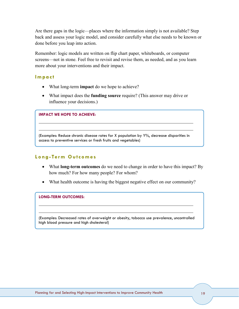Are there gaps in the logic—places where the information simply is not available? Step back and assess your logic model, and consider carefully what else needs to be known or done before you leap into action.

Remember: logic models are written on flip chart paper, whiteboards, or computer screens—not in stone. Feel free to revisit and revise them, as needed, and as you learn more about your interventions and their impact.

### <span id="page-22-0"></span>**Impact**

- What long-term **impact** do we hope to achieve?
- What impact does the **funding source** require? (This answer may drive or influence your decisions.)

**IMPACT WE HOPE TO ACHIEVE:**

(Examples: Reduce chronic disease rates for X population by Y%, decrease disparities in access to preventive services or fresh fruits and vegetables)

### <span id="page-22-1"></span>**Long- Term Outcomes**

- What **long-term outcomes** do we need to change in order to have this impact? By how much? For how many people? For whom?
- What health outcome is having the biggest negative effect on our community?

**LONG-TERM OUTCOMES:**

(Examples: Decreased rates of overweight or obesity, tobacco use prevalence, uncontrolled high blood pressure and high cholesterol)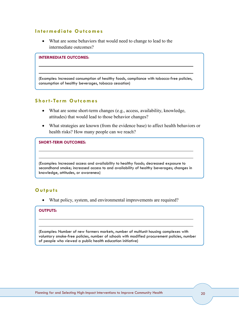### <span id="page-23-0"></span>**Intermediate Outcomes**

• What are some behaviors that would need to change to lead to the intermediate outcomes?

#### **INTERMEDIATE OUTCOMES:**

(Examples: Increased consumption of healthy foods, compliance with tobacco-free policies, consumption of healthy beverages, tobacco cessation)

#### <span id="page-23-1"></span>**Short- Term Outcomes**

- What are some short-term changes (e.g., access, availability, knowledge, attitudes) that would lead to those behavior changes?
- What strategies are known (from the evidence base) to affect health behaviors or health risks? How many people can we reach?

**SHORT-TERM OUTCOMES:**

(Examples: Increased access and availability to healthy foods; decreased exposure to secondhand smoke; increased access to and availability of healthy beverages; changes in knowledge, attitudes, or awareness)

#### <span id="page-23-2"></span>**Outputs**

• What policy, system, and environmental improvements are required?

#### **OUTPUTS:**

(Examples: Number of new farmers markets, number of multiunit housing complexes with voluntary smoke-free policies, number of schools with modified procurement policies, number of people who viewed a public health education initiative)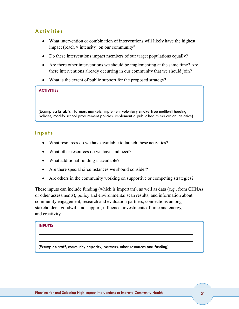# <span id="page-24-0"></span>**Activities**

- What intervention or combination of interventions will likely have the highest impact (reach  $\times$  intensity) on our community?
- Do these interventions impact members of our target populations equally?
- Are there other interventions we should be implementing at the same time? Are there interventions already occurring in our community that we should join?
- What is the extent of public support for the proposed strategy?

#### **ACTIVITIES:**

(Examples: Establish farmers markets, implement voluntary smoke-free multiunit housing policies, modify school procurement policies, implement a public health education initiative)

#### <span id="page-24-1"></span>**Inputs**

- What resources do we have available to launch these activities?
- What other resources do we have and need?
- What additional funding is available?
- Are there special circumstances we should consider?
- Are others in the community working on supportive or competing strategies?

These inputs can include funding (which is important), as well as data (e.g., from CHNAs or other assessments); policy and environmental scan results; and information about community engagement, research and evaluation partners, connections among stakeholders, goodwill and support, influence, investments of time and energy, and creativity.

#### **INPUTS:**

(Examples: staff, community capacity, partners, other resources and funding)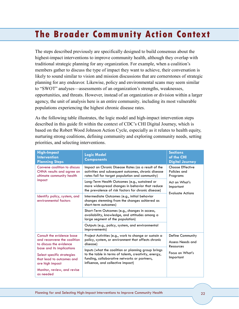# <span id="page-25-0"></span>**The Broader Community Action Context**

The steps described previously are specifically designed to build consensus about the highest-impact interventions to improve community health, although they overlap with traditional strategic planning for any organization. For example, when a coalition's members gather to discuss the type of impact they want to achieve, their conversation is likely to sound similar to vision and mission discussions that are cornerstones of strategic planning for any endeavor. Likewise, policy and environmental scans may seem similar to "SWOT" analyses—assessments of an organization's strengths, weaknesses, opportunities, and threats. However, instead of an organization or division within a larger agency, the unit of analysis here is an entire community, including its most vulnerable populations experiencing the highest chronic disease rates.

As the following table illustrates, the logic model and high-impact intervention steps described in this guide fit within the context of CDC's CHI Digital Journey, which is based on the Robert Wood Johnson Action Cycle, especially as it relates to health equity, nurturing strong coalitions, defining community and exploring community needs, setting priorities, and selecting interventions.

| <b>High-Impact</b><br><b>Intervention</b><br><b>Planning Steps</b>                                      | <b>Logic Model</b><br><b>Components</b>                                                                                                                                                           | <b>Sections</b><br>of the CHI<br><b>Digital Journey</b>                                               |  |  |
|---------------------------------------------------------------------------------------------------------|---------------------------------------------------------------------------------------------------------------------------------------------------------------------------------------------------|-------------------------------------------------------------------------------------------------------|--|--|
| Convene coalition to discuss<br>CHNA results and agree on<br>ultimate community health                  | Impact on Chronic Disease Rates (as a result of the<br>activities and subsequent outcomes, chronic disease<br>rates fall for target population and community)                                     | Choose Effective<br>Policies and<br>Programs<br>Act on What's<br>Important<br><b>Evaluate Actions</b> |  |  |
| impact                                                                                                  | Long-Term Health Outcomes (e.g., sustained or<br>more widespread changes in behavior that reduce<br>the prevalence of risk factors for chronic disease)                                           |                                                                                                       |  |  |
| Identify policy, system, and<br>environmental factors                                                   | Intermediate Outcomes (e.g., initial behavior<br>changes stemming from the changes achieved as<br>short-term outcomes)                                                                            |                                                                                                       |  |  |
|                                                                                                         | Short-Term Outcomes (e.g., changes in access,<br>availability, knowledge, and attitudes among a<br>large segment of the population)                                                               |                                                                                                       |  |  |
|                                                                                                         | Outputs (e.g., policy, system, and environmental<br>improvements)                                                                                                                                 |                                                                                                       |  |  |
| Consult the evidence base<br>and reconvene the coalition<br>to discuss the evidence                     | Project Activities (e.g., work to change or sustain a<br>policy, system, or environment that affects chronic<br>disease)                                                                          | <b>Define Community</b><br>Assess Needs and<br>Resources                                              |  |  |
| base and its implications<br>Select specific strategies<br>that lead to outcomes and<br>are high impact | Inputs (what the coalition or planning group brings<br>to the table in terms of talents, creativity, energy,<br>funding, collaborative networks or partners,<br>influence, and collective impact) | Focus on What's<br>Important                                                                          |  |  |
| Monitor, review, and revise<br>as needed                                                                |                                                                                                                                                                                                   |                                                                                                       |  |  |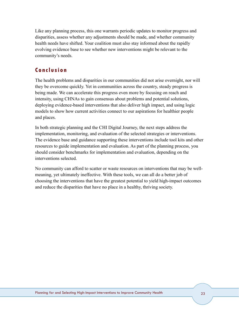Like any planning process, this one warrants periodic updates to monitor progress and disparities, assess whether any adjustments should be made, and whether community health needs have shifted. Your coalition must also stay informed about the rapidly evolving evidence base to see whether new interventions might be relevant to the community's needs.

# <span id="page-26-0"></span>**Conclusion**

The health problems and disparities in our communities did not arise overnight, nor will they be overcome quickly. Yet in communities across the country, steady progress is being made. We can accelerate this progress even more by focusing on reach and intensity, using CHNAs to gain consensus about problems and potential solutions, deploying evidence-based interventions that also deliver high impact, and using logic models to show how current activities connect to our aspirations for healthier people and places.

In both strategic planning and the CHI Digital Journey, the next steps address the implementation, monitoring, and evaluation of the selected strategies or interventions. The evidence base and guidance supporting these interventions include tool kits and other resources to guide implementation and evaluation. As part of the planning process, you should consider benchmarks for implementation and evaluation, depending on the interventions selected.

No community can afford to scatter or waste resources on interventions that may be wellmeaning, yet ultimately ineffective. With these tools, we can all do a better job of choosing the interventions that have the greatest potential to yield high-impact outcomes and reduce the disparities that have no place in a healthy, thriving society.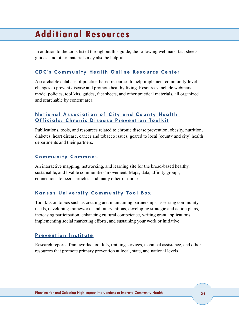# <span id="page-27-0"></span>**Additional Resources**

In addition to the tools listed throughout this guide, the following webinars, fact sheets, guides, and other materials may also be helpful.

# <span id="page-27-1"></span>**CDC's [Community Health Online Resource Center](http://www.cdc.gov/nccdphp/dch/online-resource/index.htm)**

A searchable database of practice-based resources to help implement community-level changes to prevent disease and promote healthy living. Resources include webinars, model policies, tool kits, guides, fact sheets, and other practical materials, all organized and searchable by content area.

## <span id="page-27-2"></span>**National Association of City and County Health Officials [: Chronic Disease Prevention Toolkit](http://www.naccho.org/topics/HPDP/chronicdisease/resources/)**

Publications, tools, and resources related to chronic disease prevention, obesity, nutrition, diabetes, heart disease, cancer and tobacco issues, geared to local (county and city) health departments and their partners.

## <span id="page-27-3"></span>**[Community Commons](http://www.communitycommons.org/)**

An interactive mapping, networking, and learning site for the broad-based healthy, sustainable, and livable communities' movement. Maps, data, affinity groups, connections to peers, articles, and many other resources.

# <span id="page-27-4"></span>**[Kansas University Community Tool Box](http://ctb.ku.edu/en/toolkits)**

Tool kits on topics such as creating and maintaining partnerships, assessing community needs, developing frameworks and interventions, developing strategic and action plans, increasing participation, enhancing cultural competence, writing grant applications, implementing social marketing efforts, and sustaining your work or initiative.

### <span id="page-27-5"></span>**[Prevention Institute](http://www.preventioninstitute.org/)**

Research reports, frameworks, tool kits, training services, technical assistance, and other resources that promote primary prevention at local, state, and national levels.